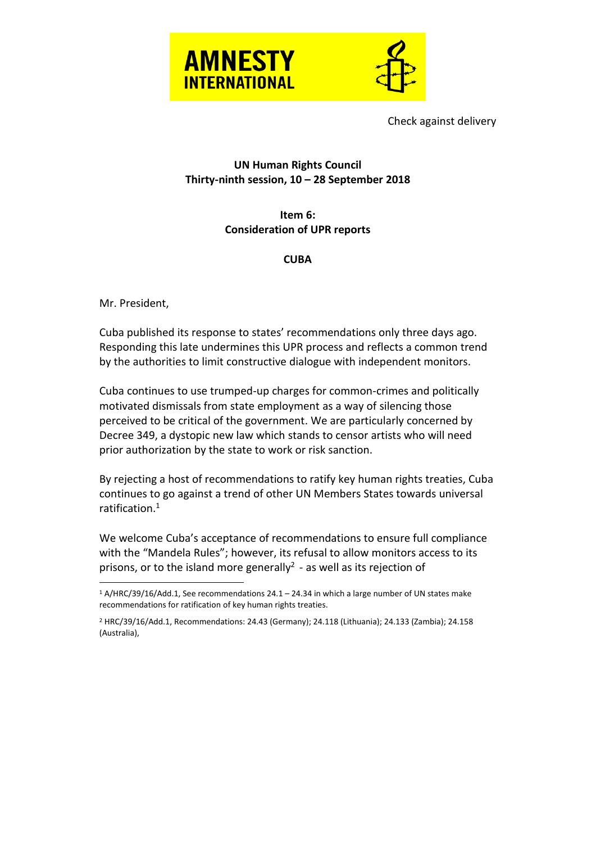



Check against delivery

## **UN Human Rights Council Thirty-ninth session, 10 – 28 September 2018**

**Item 6: Consideration of UPR reports**

## **CUBA**

Mr. President,

Cuba published its response to states' recommendations only three days ago. Responding this late undermines this UPR process and reflects a common trend by the authorities to limit constructive dialogue with independent monitors.

Cuba continues to use trumped-up charges for common-crimes and politically motivated dismissals from state employment as a way of silencing those perceived to be critical of the government. We are particularly concerned by Decree 349, a dystopic new law which stands to censor artists who will need prior authorization by the state to work or risk sanction.

By rejecting a host of recommendations to ratify key human rights treaties, Cuba continues to go against a trend of other UN Members States towards universal ratification. 1

We welcome Cuba's acceptance of recommendations to ensure full compliance with the "Mandela Rules"; however, its refusal to allow monitors access to its prisons, or to the island more generally<sup>2</sup> - as well as its rejection of

 $\overline{a}$ <sup>1</sup> A/HRC/39/16/Add.1, See recommendations 24.1 – 24.34 in which a large number of UN states make recommendations for ratification of key human rights treaties.

<sup>2</sup> HRC/39/16/Add.1, Recommendations: 24.43 (Germany); 24.118 (Lithuania); 24.133 (Zambia); 24.158 (Australia),